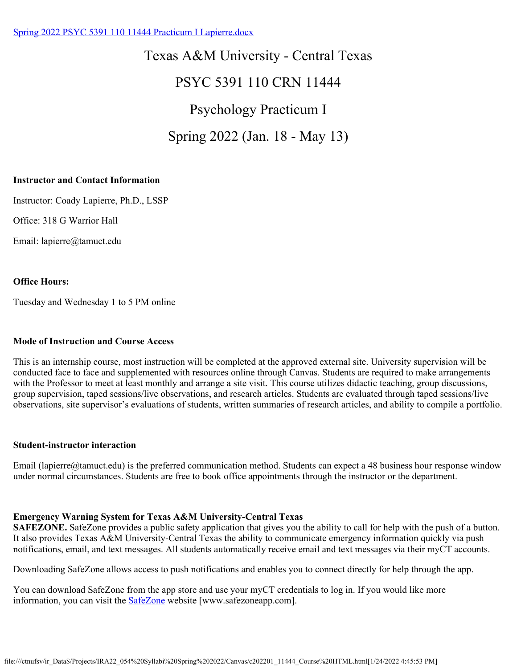### [Spring 2022 PSYC 5391 110 11444 Practicum I Lapierre.docx](https://tamuct.instructure.com/courses/9583/files/1190151?verifier=LnyyKIHSMv7rbiC7pohBkQnGQ0n1oB3DMjbGUvp4&wrap=1)

Texas A&M University - Central Texas PSYC 5391 110 CRN 11444 Psychology Practicum I Spring 2022 (Jan. 18 - May 13)

#### **Instructor and Contact Information**

Instructor: Coady Lapierre, Ph.D., LSSP

Office: 318 G Warrior Hall

Email: lapierre@tamuct.edu

#### **Office Hours:**

Tuesday and Wednesday 1 to 5 PM online

#### **Mode of Instruction and Course Access**

This is an internship course, most instruction will be completed at the approved external site. University supervision will be conducted face to face and supplemented with resources online through Canvas. Students are required to make arrangements with the Professor to meet at least monthly and arrange a site visit. This course utilizes didactic teaching, group discussions, group supervision, taped sessions/live observations, and research articles. Students are evaluated through taped sessions/live observations, site supervisor's evaluations of students, written summaries of research articles, and ability to compile a portfolio.

#### **Student-instructor interaction**

Email (lapierre@tamuct.edu) is the preferred communication method. Students can expect a 48 business hour response window under normal circumstances. Students are free to book office appointments through the instructor or the department.

#### **Emergency Warning System for Texas A&M University-Central Texas**

**SAFEZONE.** SafeZone provides a public safety application that gives you the ability to call for help with the push of a button. It also provides Texas A&M University-Central Texas the ability to communicate emergency information quickly via push notifications, email, and text messages. All students automatically receive email and text messages via their myCT accounts.

Downloading SafeZone allows access to push notifications and enables you to connect directly for help through the app.

You can download SafeZone from the app store and use your myCT credentials to log in. If you would like more information, you can visit the **SafeZone** website [www.safezoneapp.com].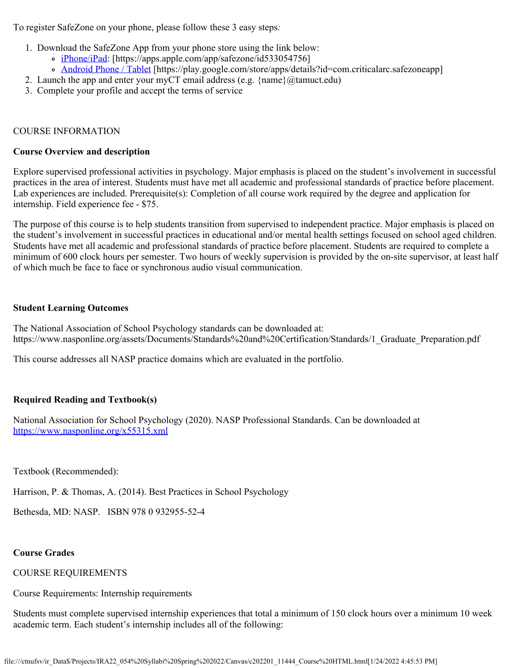To register SafeZone on your phone, please follow these 3 easy steps*:*

- 1. Download the SafeZone App from your phone store using the link below:
	- [iPhone/iPad](https://apps.apple.com/app/safezone/id533054756): [https://apps.apple.com/app/safezone/id533054756]
	- [Android Phone / Tablet](https://play.google.com/store/apps/details?id=com.criticalarc.safezoneapp) [https://play.google.com/store/apps/details?id=com.criticalarc.safezoneapp]
- 2. Launch the app and enter your myCT email address (e.g.  $\{\text{name}\}\langle\omega\rangle$  tamuct.edu)
- 3. Complete your profile and accept the terms of service

### COURSE INFORMATION

#### **Course Overview and description**

Explore supervised professional activities in psychology. Major emphasis is placed on the student's involvement in successful practices in the area of interest. Students must have met all academic and professional standards of practice before placement. Lab experiences are included. Prerequisite(s): Completion of all course work required by the degree and application for internship. Field experience fee - \$75.

The purpose of this course is to help students transition from supervised to independent practice. Major emphasis is placed on the student's involvement in successful practices in educational and/or mental health settings focused on school aged children. Students have met all academic and professional standards of practice before placement. Students are required to complete a minimum of 600 clock hours per semester. Two hours of weekly supervision is provided by the on-site supervisor, at least half of which much be face to face or synchronous audio visual communication.

#### **Student Learning Outcomes**

The National Association of School Psychology standards can be downloaded at: https://www.nasponline.org/assets/Documents/Standards%20and%20Certification/Standards/1\_Graduate\_Preparation.pdf

This course addresses all NASP practice domains which are evaluated in the portfolio.

### **Required Reading and Textbook(s)**

National Association for School Psychology (2020). NASP Professional Standards. Can be downloaded at <https://www.nasponline.org/x55315.xml>

Textbook (Recommended):

Harrison, P. & Thomas, A. (2014). Best Practices in School Psychology

Bethesda, MD: NASP. ISBN 978 0 932955-52-4

### **Course Grades**

### COURSE REQUIREMENTS

Course Requirements: Internship requirements

Students must complete supervised internship experiences that total a minimum of 150 clock hours over a minimum 10 week academic term. Each student's internship includes all of the following: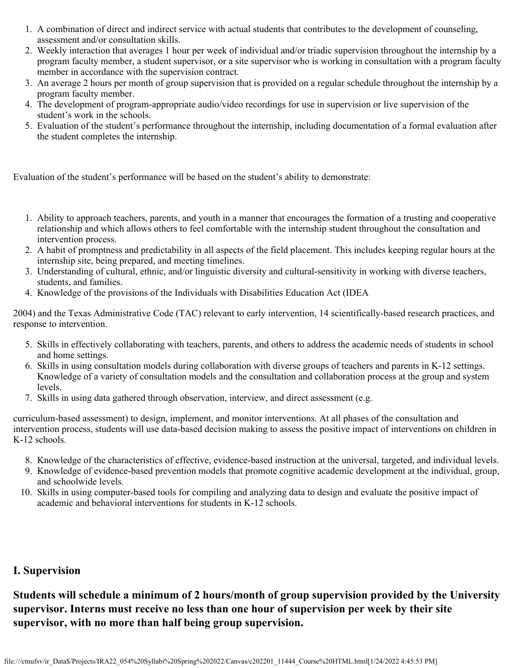- 1. A combination of direct and indirect service with actual students that contributes to the development of counseling, assessment and/or consultation skills.
- 2. Weekly interaction that averages 1 hour per week of individual and/or triadic supervision throughout the internship by a program faculty member, a student supervisor, or a site supervisor who is working in consultation with a program faculty member in accordance with the supervision contract.
- 3. An average 2 hours per month of group supervision that is provided on a regular schedule throughout the internship by a program faculty member.
- 4. The development of program-appropriate audio/video recordings for use in supervision or live supervision of the student's work in the schools.
- 5. Evaluation of the student's performance throughout the internship, including documentation of a formal evaluation after the student completes the internship.

Evaluation of the student's performance will be based on the student's ability to demonstrate:

- 1. Ability to approach teachers, parents, and youth in a manner that encourages the formation of a trusting and cooperative relationship and which allows others to feel comfortable with the internship student throughout the consultation and intervention process.
- 2. A habit of promptness and predictability in all aspects of the field placement. This includes keeping regular hours at the internship site, being prepared, and meeting timelines.
- 3. Understanding of cultural, ethnic, and/or linguistic diversity and cultural-sensitivity in working with diverse teachers, students, and families.
- 4. Knowledge of the provisions of the Individuals with Disabilities Education Act (IDEA

2004) and the Texas Administrative Code (TAC) relevant to early intervention, 14 scientifically-based research practices, and response to intervention.

- 5. Skills in effectively collaborating with teachers, parents, and others to address the academic needs of students in school and home settings.
- 6. Skills in using consultation models during collaboration with diverse groups of teachers and parents in K-12 settings. Knowledge of a variety of consultation models and the consultation and collaboration process at the group and system levels.
- 7. Skills in using data gathered through observation, interview, and direct assessment (e.g.

curriculum-based assessment) to design, implement, and monitor interventions. At all phases of the consultation and intervention process, students will use data-based decision making to assess the positive impact of interventions on children in K-12 schools.

- 8. Knowledge of the characteristics of effective, evidence-based instruction at the universal, targeted, and individual levels.
- 9. Knowledge of evidence-based prevention models that promote cognitive academic development at the individual, group, and schoolwide levels.
- 10. Skills in using computer-based tools for compiling and analyzing data to design and evaluate the positive impact of academic and behavioral interventions for students in K-12 schools.

## **I. Supervision**

**Students will schedule a minimum of 2 hours/month of group supervision provided by the University supervisor. Interns must receive no less than one hour of supervision per week by their site supervisor, with no more than half being group supervision.**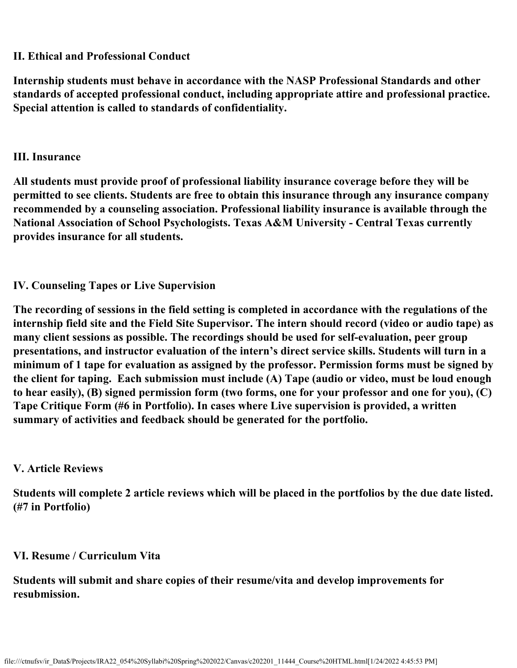## **II. Ethical and Professional Conduct**

**Internship students must behave in accordance with the NASP Professional Standards and other standards of accepted professional conduct, including appropriate attire and professional practice. Special attention is called to standards of confidentiality.**

## **III. Insurance**

**All students must provide proof of professional liability insurance coverage before they will be permitted to see clients. Students are free to obtain this insurance through any insurance company recommended by a counseling association. Professional liability insurance is available through the National Association of School Psychologists. Texas A&M University - Central Texas currently provides insurance for all students.**

# **IV. Counseling Tapes or Live Supervision**

**The recording of sessions in the field setting is completed in accordance with the regulations of the internship field site and the Field Site Supervisor. The intern should record (video or audio tape) as many client sessions as possible. The recordings should be used for self-evaluation, peer group presentations, and instructor evaluation of the intern's direct service skills. Students will turn in a minimum of 1 tape for evaluation as assigned by the professor. Permission forms must be signed by the client for taping. Each submission must include (A) Tape (audio or video, must be loud enough to hear easily), (B) signed permission form (two forms, one for your professor and one for you), (C) Tape Critique Form (#6 in Portfolio). In cases where Live supervision is provided, a written summary of activities and feedback should be generated for the portfolio.**

## **V. Article Reviews**

**Students will complete 2 article reviews which will be placed in the portfolios by the due date listed. (#7 in Portfolio)**

# **VI. Resume / Curriculum Vita**

**Students will submit and share copies of their resume/vita and develop improvements for resubmission.**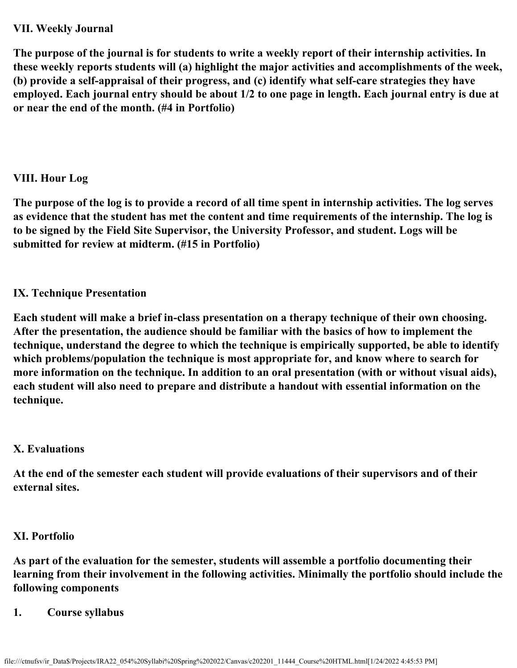## **VII. Weekly Journal**

**The purpose of the journal is for students to write a weekly report of their internship activities. In these weekly reports students will (a) highlight the major activities and accomplishments of the week, (b) provide a self-appraisal of their progress, and (c) identify what self-care strategies they have employed. Each journal entry should be about 1/2 to one page in length. Each journal entry is due at or near the end of the month. (#4 in Portfolio)**

# **VIII. Hour Log**

**The purpose of the log is to provide a record of all time spent in internship activities. The log serves as evidence that the student has met the content and time requirements of the internship. The log is to be signed by the Field Site Supervisor, the University Professor, and student. Logs will be submitted for review at midterm. (#15 in Portfolio)**

# **IX. Technique Presentation**

**Each student will make a brief in-class presentation on a therapy technique of their own choosing. After the presentation, the audience should be familiar with the basics of how to implement the technique, understand the degree to which the technique is empirically supported, be able to identify which problems/population the technique is most appropriate for, and know where to search for more information on the technique. In addition to an oral presentation (with or without visual aids), each student will also need to prepare and distribute a handout with essential information on the technique.**

# **X. Evaluations**

**At the end of the semester each student will provide evaluations of their supervisors and of their external sites.**

# **XI. Portfolio**

**As part of the evaluation for the semester, students will assemble a portfolio documenting their learning from their involvement in the following activities. Minimally the portfolio should include the following components**

# **1. Course syllabus**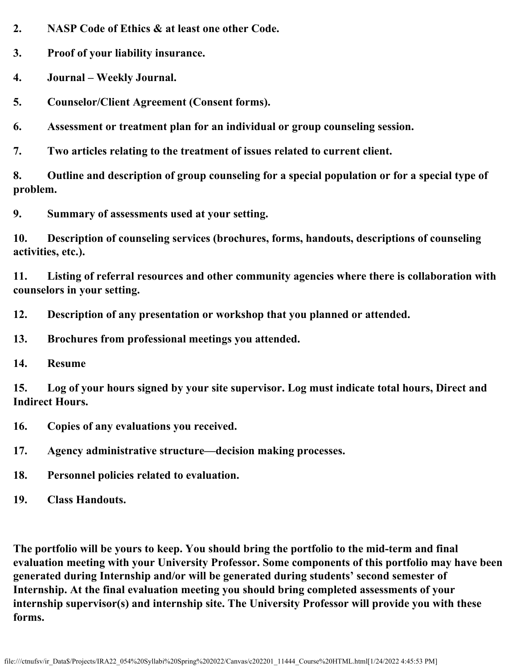**2. NASP Code of Ethics & at least one other Code.**

**3. Proof of your liability insurance.**

- **4. Journal Weekly Journal.**
- **5. Counselor/Client Agreement (Consent forms).**
- **6. Assessment or treatment plan for an individual or group counseling session.**
- **7. Two articles relating to the treatment of issues related to current client.**

**8. Outline and description of group counseling for a special population or for a special type of problem.**

**9. Summary of assessments used at your setting.**

**10. Description of counseling services (brochures, forms, handouts, descriptions of counseling activities, etc.).**

**11. Listing of referral resources and other community agencies where there is collaboration with counselors in your setting.**

- **12. Description of any presentation or workshop that you planned or attended.**
- **13. Brochures from professional meetings you attended.**
- **14. Resume**

**15. Log of your hours signed by your site supervisor. Log must indicate total hours, Direct and Indirect Hours.**

- **16. Copies of any evaluations you received.**
- **17. Agency administrative structure—decision making processes.**
- **18. Personnel policies related to evaluation.**
- **19. Class Handouts.**

**The portfolio will be yours to keep. You should bring the portfolio to the mid-term and final evaluation meeting with your University Professor. Some components of this portfolio may have been generated during Internship and/or will be generated during students' second semester of Internship. At the final evaluation meeting you should bring completed assessments of your internship supervisor(s) and internship site. The University Professor will provide you with these forms.**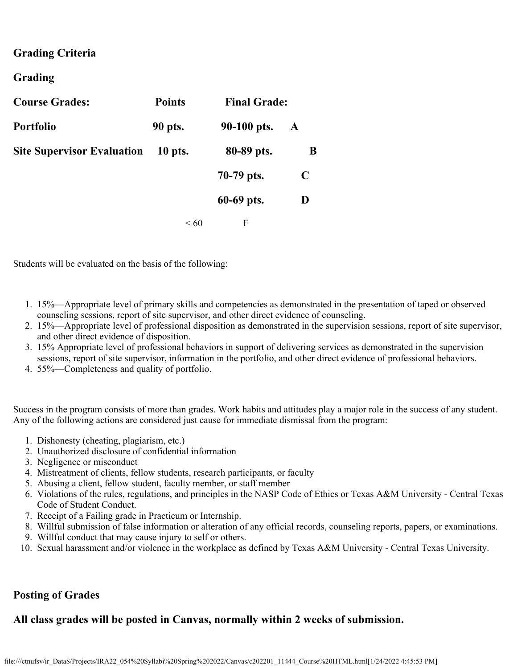## **Grading Criteria**

## **Grading**

| <b>Course Grades:</b>             | <b>Points</b><br><b>Final Grade:</b> |             |   |
|-----------------------------------|--------------------------------------|-------------|---|
| <b>Portfolio</b>                  | 90 pts.                              | 90-100 pts. | A |
| <b>Site Supervisor Evaluation</b> | $10$ pts.                            | 80-89 pts.  | B |
|                                   |                                      | 70-79 pts.  | C |
|                                   |                                      | 60-69 pts.  | D |
|                                   | $\leq 60$                            | F           |   |

Students will be evaluated on the basis of the following:

- 1. 15%—Appropriate level of primary skills and competencies as demonstrated in the presentation of taped or observed counseling sessions, report of site supervisor, and other direct evidence of counseling.
- 2. 15%—Appropriate level of professional disposition as demonstrated in the supervision sessions, report of site supervisor, and other direct evidence of disposition.
- 3. 15% Appropriate level of professional behaviors in support of delivering services as demonstrated in the supervision sessions, report of site supervisor, information in the portfolio, and other direct evidence of professional behaviors.
- 4. 55%—Completeness and quality of portfolio.

Success in the program consists of more than grades. Work habits and attitudes play a major role in the success of any student. Any of the following actions are considered just cause for immediate dismissal from the program:

- 1. Dishonesty (cheating, plagiarism, etc.)
- 2. Unauthorized disclosure of confidential information
- 3. Negligence or misconduct
- 4. Mistreatment of clients, fellow students, research participants, or faculty
- 5. Abusing a client, fellow student, faculty member, or staff member
- 6. Violations of the rules, regulations, and principles in the NASP Code of Ethics or Texas A&M University Central Texas Code of Student Conduct.
- 7. Receipt of a Failing grade in Practicum or Internship.
- 8. Willful submission of false information or alteration of any official records, counseling reports, papers, or examinations.
- 9. Willful conduct that may cause injury to self or others.
- 10. Sexual harassment and/or violence in the workplace as defined by Texas A&M University Central Texas University.

## **Posting of Grades**

## **All class grades will be posted in Canvas, normally within 2 weeks of submission.**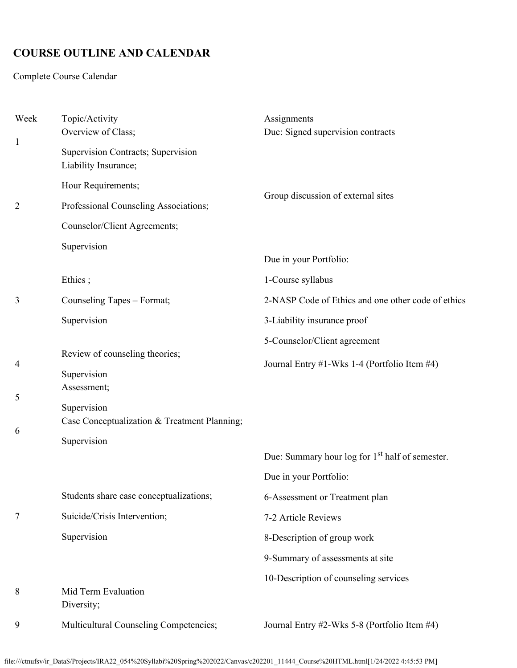# **COURSE OUTLINE AND CALENDAR**

Complete Course Calendar

| Week           | Topic/Activity<br>Overview of Class;                                       | Assignments<br>Due: Signed supervision contracts                                      |  |
|----------------|----------------------------------------------------------------------------|---------------------------------------------------------------------------------------|--|
| $\mathbf{1}$   | Supervision Contracts; Supervision<br>Liability Insurance;                 |                                                                                       |  |
|                | Hour Requirements;                                                         |                                                                                       |  |
| $\overline{2}$ | Professional Counseling Associations;                                      | Group discussion of external sites                                                    |  |
|                | Counselor/Client Agreements;                                               |                                                                                       |  |
|                | Supervision                                                                | Due in your Portfolio:                                                                |  |
|                | Ethics;                                                                    | 1-Course syllabus                                                                     |  |
| 3              | Counseling Tapes - Format;                                                 | 2-NASP Code of Ethics and one other code of ethics                                    |  |
|                | Supervision                                                                | 3-Liability insurance proof                                                           |  |
|                |                                                                            | 5-Counselor/Client agreement                                                          |  |
| 4              | Review of counseling theories;<br>Supervision<br>Assessment;               | Journal Entry #1-Wks 1-4 (Portfolio Item #4)                                          |  |
| 5<br>6         | Supervision<br>Case Conceptualization & Treatment Planning;<br>Supervision |                                                                                       |  |
|                |                                                                            | Due: Summary hour log for 1 <sup>st</sup> half of semester.<br>Due in your Portfolio: |  |
|                | Students share case conceptualizations;                                    | 6-Assessment or Treatment plan                                                        |  |
| 7              | Suicide/Crisis Intervention;                                               | 7-2 Article Reviews                                                                   |  |
|                | Supervision                                                                | 8-Description of group work                                                           |  |
|                |                                                                            | 9-Summary of assessments at site                                                      |  |
| 8              | Mid Term Evaluation<br>Diversity;                                          | 10-Description of counseling services                                                 |  |
| 9              | Multicultural Counseling Competencies;                                     | Journal Entry #2-Wks 5-8 (Portfolio Item #4)                                          |  |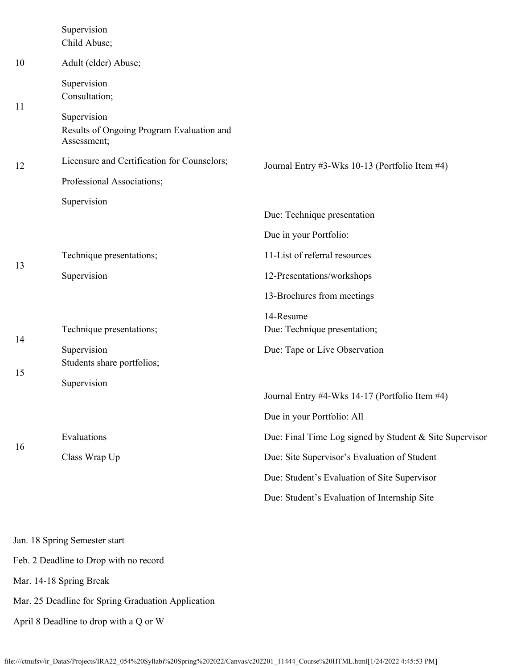|          | Supervision<br>Child Abuse;                                             |                                                         |  |  |
|----------|-------------------------------------------------------------------------|---------------------------------------------------------|--|--|
| 10       | Adult (elder) Abuse;                                                    |                                                         |  |  |
| 11<br>12 | Supervision<br>Consultation;                                            |                                                         |  |  |
|          | Supervision<br>Results of Ongoing Program Evaluation and<br>Assessment; |                                                         |  |  |
|          | Licensure and Certification for Counselors;                             | Journal Entry #3-Wks 10-13 (Portfolio Item #4)          |  |  |
|          | Professional Associations;                                              |                                                         |  |  |
|          | Supervision                                                             | Due: Technique presentation                             |  |  |
|          |                                                                         | Due in your Portfolio:                                  |  |  |
| 13       | Technique presentations;                                                | 11-List of referral resources                           |  |  |
|          | Supervision                                                             | 12-Presentations/workshops                              |  |  |
|          |                                                                         | 13-Brochures from meetings                              |  |  |
| 14       | Technique presentations;                                                | 14-Resume<br>Due: Technique presentation;               |  |  |
|          | Supervision<br>Students share portfolios;                               | Due: Tape or Live Observation                           |  |  |
| 15       | Supervision                                                             |                                                         |  |  |
|          |                                                                         | Journal Entry #4-Wks 14-17 (Portfolio Item #4)          |  |  |
|          |                                                                         | Due in your Portfolio: All                              |  |  |
| 16       | Evaluations                                                             | Due: Final Time Log signed by Student & Site Supervisor |  |  |
|          | Class Wrap Up                                                           | Due: Site Supervisor's Evaluation of Student            |  |  |
|          |                                                                         | Due: Student's Evaluation of Site Supervisor            |  |  |
|          |                                                                         | Due: Student's Evaluation of Internship Site            |  |  |
|          | Jan. 18 Spring Semester start                                           |                                                         |  |  |

Feb. 2 Deadline to Drop with no record

Mar. 14-18 Spring Break

Mar. 25 Deadline for Spring Graduation Application

April 8 Deadline to drop with a Q or W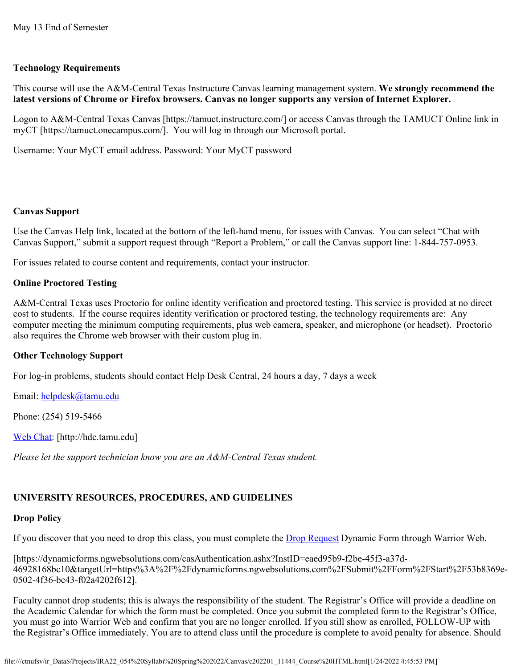### **Technology Requirements**

This course will use the A&M-Central Texas Instructure Canvas learning management system. **We strongly recommend the latest versions of Chrome or Firefox browsers. Canvas no longer supports any version of Internet Explorer.**

Logon to A&M-Central Texas Canvas [https://tamuct.instructure.com/] or access Canvas through the TAMUCT Online link in myCT [https://tamuct.onecampus.com/]. You will log in through our Microsoft portal.

Username: Your MyCT email address. Password: Your MyCT password

### **Canvas Support**

Use the Canvas Help link, located at the bottom of the left-hand menu, for issues with Canvas. You can select "Chat with Canvas Support," submit a support request through "Report a Problem," or call the Canvas support line: 1-844-757-0953.

For issues related to course content and requirements, contact your instructor.

### **Online Proctored Testing**

A&M-Central Texas uses Proctorio for online identity verification and proctored testing. This service is provided at no direct cost to students. If the course requires identity verification or proctored testing, the technology requirements are: Any computer meeting the minimum computing requirements, plus web camera, speaker, and microphone (or headset). Proctorio also requires the Chrome web browser with their custom plug in.

### **Other Technology Support**

For log-in problems, students should contact Help Desk Central, 24 hours a day, 7 days a week

Email: [helpdesk@tamu.edu](mailto:helpdesk@tamu.edu)

Phone: (254) 519-5466

[Web Chat](http://hdc.tamu.edu/): [http://hdc.tamu.edu]

*Please let the support technician know you are an A&M-Central Texas student.*

### **UNIVERSITY RESOURCES, PROCEDURES, AND GUIDELINES**

### **Drop Policy**

If you discover that you need to drop this class, you must complete the **Drop Request Dynamic Form through Warrior Web**.

[https://dynamicforms.ngwebsolutions.com/casAuthentication.ashx?InstID=eaed95b9-f2be-45f3-a37d-46928168bc10&targetUrl=https%3A%2F%2Fdynamicforms.ngwebsolutions.com%2FSubmit%2FForm%2FStart%2F53b8369e-0502-4f36-be43-f02a4202f612].

Faculty cannot drop students; this is always the responsibility of the student. The Registrar's Office will provide a deadline on the Academic Calendar for which the form must be completed. Once you submit the completed form to the Registrar's Office, you must go into Warrior Web and confirm that you are no longer enrolled. If you still show as enrolled, FOLLOW-UP with the Registrar's Office immediately. You are to attend class until the procedure is complete to avoid penalty for absence. Should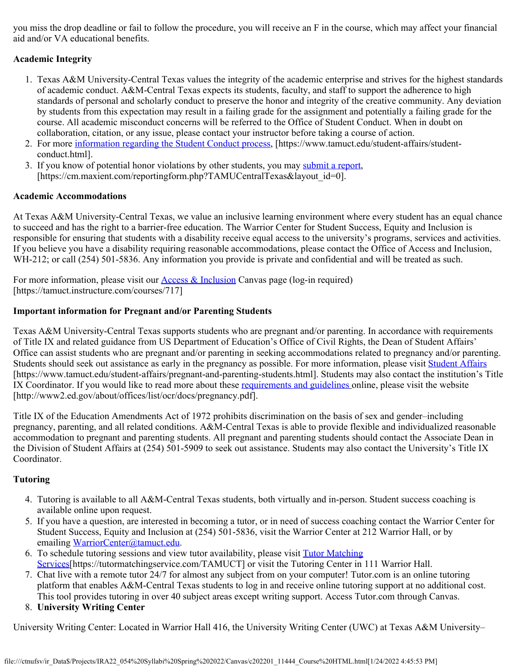you miss the drop deadline or fail to follow the procedure, you will receive an F in the course, which may affect your financial aid and/or VA educational benefits.

## **Academic Integrity**

- 1. Texas A&M University-Central Texas values the integrity of the academic enterprise and strives for the highest standards of academic conduct. A&M-Central Texas expects its students, faculty, and staff to support the adherence to high standards of personal and scholarly conduct to preserve the honor and integrity of the creative community. Any deviation by students from this expectation may result in a failing grade for the assignment and potentially a failing grade for the course. All academic misconduct concerns will be referred to the Office of Student Conduct. When in doubt on collaboration, citation, or any issue, please contact your instructor before taking a course of action.
- 2. For more [information regarding the Student Conduct process](https://nam04.safelinks.protection.outlook.com/?url=https%3A%2F%2Fwww.tamuct.edu%2Fstudent-affairs%2Fstudent-conduct.html&data=04%7C01%7Clisa.bunkowski%40tamuct.edu%7Ccfb6e486f24745f53e1a08d910055cb2%7C9eed4e3000f744849ff193ad8005acec%7C0%7C0%7C637558437485252160%7CUnknown%7CTWFpbGZsb3d8eyJWIjoiMC4wLjAwMDAiLCJQIjoiV2luMzIiLCJBTiI6Ik1haWwiLCJXVCI6Mn0%3D%7C1000&sdata=yjftDEVHvLX%2FhM%2FcFU0B99krV1RgEWR%2BJ%2BhvtoR6TYk%3D&reserved=0), [https://www.tamuct.edu/student-affairs/studentconduct.html].
- 3. If you know of potential honor violations by other students, you may [submit a report](https://nam04.safelinks.protection.outlook.com/?url=https%3A%2F%2Fcm.maxient.com%2Freportingform.php%3FTAMUCentralTexas%26layout_id%3D0&data=04%7C01%7Clisa.bunkowski%40tamuct.edu%7Ccfb6e486f24745f53e1a08d910055cb2%7C9eed4e3000f744849ff193ad8005acec%7C0%7C0%7C637558437485262157%7CUnknown%7CTWFpbGZsb3d8eyJWIjoiMC4wLjAwMDAiLCJQIjoiV2luMzIiLCJBTiI6Ik1haWwiLCJXVCI6Mn0%3D%7C1000&sdata=CXGkOa6uPDPX1IMZ87z3aZDq2n91xfHKu4MMS43Ejjk%3D&reserved=0), [https://cm.maxient.com/reportingform.php?TAMUCentralTexas&layout\_id=0].

## **Academic Accommodations**

At Texas A&M University-Central Texas, we value an inclusive learning environment where every student has an equal chance to succeed and has the right to a barrier-free education. The Warrior Center for Student Success, Equity and Inclusion is responsible for ensuring that students with a disability receive equal access to the university's programs, services and activities. If you believe you have a disability requiring reasonable accommodations, please contact the Office of Access and Inclusion, WH-212; or call (254) 501-5836. Any information you provide is private and confidential and will be treated as such.

For more information, please visit our [Access & Inclusion](https://tamuct.instructure.com/courses/717) Canvas page (log-in required) [https://tamuct.instructure.com/courses/717]

### **Important information for Pregnant and/or Parenting Students**

Texas A&M University-Central Texas supports students who are pregnant and/or parenting. In accordance with requirements of Title IX and related guidance from US Department of Education's Office of Civil Rights, the Dean of Student Affairs' Office can assist students who are pregnant and/or parenting in seeking accommodations related to pregnancy and/or parenting. Students should seek out assistance as early in the pregnancy as possible. For more information, please visit [Student Affairs](https://www.tamuct.edu/student-affairs/pregnant-and-parenting-students.html) [https://www.tamuct.edu/student-affairs/pregnant-and-parenting-students.html]. Students may also contact the institution's Title IX Coordinator. If you would like to read more about these [requirements and guidelines](http://www2.ed.gov/about/offices/list/ocr/docs/pregnancy.pdf) online, please visit the website [http://www2.ed.gov/about/offices/list/ocr/docs/pregnancy.pdf].

Title IX of the Education Amendments Act of 1972 prohibits discrimination on the basis of sex and gender–including pregnancy, parenting, and all related conditions. A&M-Central Texas is able to provide flexible and individualized reasonable accommodation to pregnant and parenting students. All pregnant and parenting students should contact the Associate Dean in the Division of Student Affairs at (254) 501-5909 to seek out assistance. Students may also contact the University's Title IX Coordinator.

## **Tutoring**

- 4. Tutoring is available to all A&M-Central Texas students, both virtually and in-person. Student success coaching is available online upon request.
- 5. If you have a question, are interested in becoming a tutor, or in need of success coaching contact the Warrior Center for Student Success, Equity and Inclusion at (254) 501-5836, visit the Warrior Center at 212 Warrior Hall, or by emailing [WarriorCenter@tamuct.edu](mailto:WarriorCenter@tamuct.edu).
- 6. To schedule tutoring sessions and view tutor availability, please visit [Tutor Matching](https://tutormatchingservice.com/TAMUCT) [Services](https://tutormatchingservice.com/TAMUCT)[https://tutormatchingservice.com/TAMUCT] or visit the Tutoring Center in 111 Warrior Hall.
- 7. Chat live with a remote tutor 24/7 for almost any subject from on your computer! Tutor.com is an online tutoring platform that enables A&M-Central Texas students to log in and receive online tutoring support at no additional cost. This tool provides tutoring in over 40 subject areas except writing support. Access Tutor.com through Canvas.
- 8. **University Writing Center**

University Writing Center: Located in Warrior Hall 416, the University Writing Center (UWC) at Texas A&M University–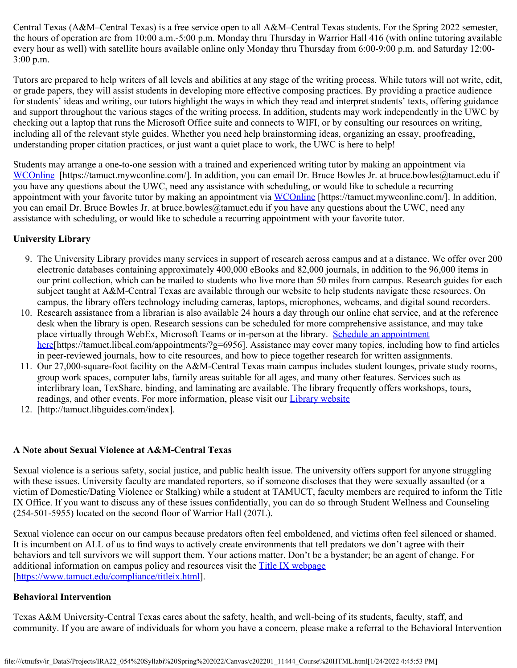Central Texas (A&M–Central Texas) is a free service open to all A&M–Central Texas students. For the Spring 2022 semester, the hours of operation are from 10:00 a.m.-5:00 p.m. Monday thru Thursday in Warrior Hall 416 (with online tutoring available every hour as well) with satellite hours available online only Monday thru Thursday from 6:00-9:00 p.m. and Saturday 12:00- 3:00 p.m.

Tutors are prepared to help writers of all levels and abilities at any stage of the writing process. While tutors will not write, edit, or grade papers, they will assist students in developing more effective composing practices. By providing a practice audience for students' ideas and writing, our tutors highlight the ways in which they read and interpret students' texts, offering guidance and support throughout the various stages of the writing process. In addition, students may work independently in the UWC by checking out a laptop that runs the Microsoft Office suite and connects to WIFI, or by consulting our resources on writing, including all of the relevant style guides. Whether you need help brainstorming ideas, organizing an essay, proofreading, understanding proper citation practices, or just want a quiet place to work, the UWC is here to help!

Students may arrange a one-to-one session with a trained and experienced writing tutor by making an appointment via [WCOnline](https://tamuct.mywconline.com/) [https://tamuct.mywconline.com/]. In addition, you can email Dr. Bruce Bowles Jr. at bruce.bowles@tamuct.edu if you have any questions about the UWC, need any assistance with scheduling, or would like to schedule a recurring appointment with your favorite tutor by making an appointment via [WCOnline](https://tamuct.mywconline.com/) [https://tamuct.mywconline.com/]. In addition, you can email Dr. Bruce Bowles Jr. at bruce.bowles@tamuct.edu if you have any questions about the UWC, need any assistance with scheduling, or would like to schedule a recurring appointment with your favorite tutor.

### **University Library**

- 9. The University Library provides many services in support of research across campus and at a distance. We offer over 200 electronic databases containing approximately 400,000 eBooks and 82,000 journals, in addition to the 96,000 items in our print collection, which can be mailed to students who live more than 50 miles from campus. Research guides for each subject taught at A&M-Central Texas are available through our website to help students navigate these resources. On campus, the library offers technology including cameras, laptops, microphones, webcams, and digital sound recorders.
- 10. Research assistance from a librarian is also available 24 hours a day through our online chat service, and at the reference desk when the library is open. Research sessions can be scheduled for more comprehensive assistance, and may take place virtually through WebEx, Microsoft Teams or in-person at the library. [Schedule an appointment](https://nam04.safelinks.protection.outlook.com/?url=https%3A%2F%2Ftamuct.libcal.com%2Fappointments%2F%3Fg%3D6956&data=04%7C01%7Clisa.bunkowski%40tamuct.edu%7Cde2c07d9f5804f09518008d9ab7ba6ff%7C9eed4e3000f744849ff193ad8005acec%7C0%7C0%7C637729369835011558%7CUnknown%7CTWFpbGZsb3d8eyJWIjoiMC4wLjAwMDAiLCJQIjoiV2luMzIiLCJBTiI6Ik1haWwiLCJXVCI6Mn0%3D%7C3000&sdata=KhtjgRSAw9aq%2FoBsB6wyu8b7PSuGN5EGPypzr3Ty2No%3D&reserved=0) [here](https://nam04.safelinks.protection.outlook.com/?url=https%3A%2F%2Ftamuct.libcal.com%2Fappointments%2F%3Fg%3D6956&data=04%7C01%7Clisa.bunkowski%40tamuct.edu%7Cde2c07d9f5804f09518008d9ab7ba6ff%7C9eed4e3000f744849ff193ad8005acec%7C0%7C0%7C637729369835011558%7CUnknown%7CTWFpbGZsb3d8eyJWIjoiMC4wLjAwMDAiLCJQIjoiV2luMzIiLCJBTiI6Ik1haWwiLCJXVCI6Mn0%3D%7C3000&sdata=KhtjgRSAw9aq%2FoBsB6wyu8b7PSuGN5EGPypzr3Ty2No%3D&reserved=0)[https://tamuct.libcal.com/appointments/?g=6956]. Assistance may cover many topics, including how to find articles in peer-reviewed journals, how to cite resources, and how to piece together research for written assignments.
- 11. Our 27,000-square-foot facility on the A&M-Central Texas main campus includes student lounges, private study rooms, group work spaces, computer labs, family areas suitable for all ages, and many other features. Services such as interlibrary loan, TexShare, binding, and laminating are available. The library frequently offers workshops, tours, readings, and other events. For more information, please visit our *[Library website](https://nam04.safelinks.protection.outlook.com/?url=https%3A%2F%2Ftamuct.libguides.com%2Findex&data=04%7C01%7Clisa.bunkowski%40tamuct.edu%7C7d8489e8839a4915335f08d916f067f2%7C9eed4e3000f744849ff193ad8005acec%7C0%7C0%7C637566044056484222%7CUnknown%7CTWFpbGZsb3d8eyJWIjoiMC4wLjAwMDAiLCJQIjoiV2luMzIiLCJBTiI6Ik1haWwiLCJXVCI6Mn0%3D%7C1000&sdata=2R755V6rcIyedGrd4Os5rkgn1PvhHKU3kUV1vBKiHFo%3D&reserved=0)*
- 12. [http://tamuct.libguides.com/index].

### **A Note about Sexual Violence at A&M-Central Texas**

Sexual violence is a serious safety, social justice, and public health issue. The university offers support for anyone struggling with these issues. University faculty are mandated reporters, so if someone discloses that they were sexually assaulted (or a victim of Domestic/Dating Violence or Stalking) while a student at TAMUCT, faculty members are required to inform the Title IX Office. If you want to discuss any of these issues confidentially, you can do so through Student Wellness and Counseling (254-501-5955) located on the second floor of Warrior Hall (207L).

Sexual violence can occur on our campus because predators often feel emboldened, and victims often feel silenced or shamed. It is incumbent on ALL of us to find ways to actively create environments that tell predators we don't agree with their behaviors and tell survivors we will support them. Your actions matter. Don't be a bystander; be an agent of change. For additional information on campus policy and resources visit the [Title IX webpage](https://www.tamuct.edu/compliance/titleix.html) [\[https://www.tamuct.edu/compliance/titleix.html](https://www.tamuct.edu/compliance/titleix.html)].

### **Behavioral Intervention**

Texas A&M University-Central Texas cares about the safety, health, and well-being of its students, faculty, staff, and community. If you are aware of individuals for whom you have a concern, please make a referral to the Behavioral Intervention